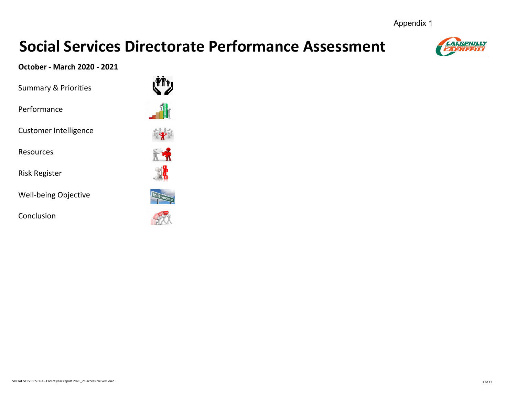Appendix 1

# **Social Services Directorate Performance Assessment**



# **October - March 2020 - 2021**

Summary & Priorities

Performance

Customer Intelligence

Resources

Risk Register

Well-being Objective

Conclusion

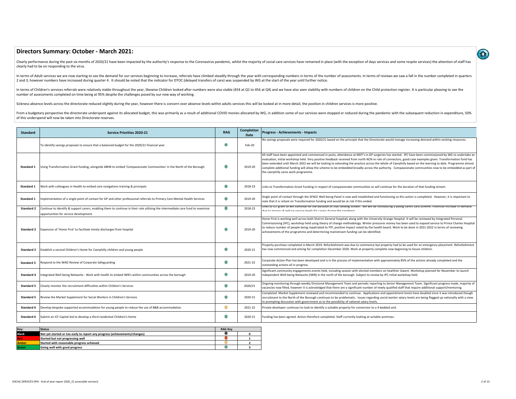# **Directors Summary: October - March 2021:**

Clearly performance during the past six months of 2020/21 have been impacted by the authority's response to the Coronavirus pandemic, whilst the majority of social care services have remained in place (with the exception o clearly had to be on responding to the virus.

In terms of Adult services we are now starting to see the demand for our services beginning to increase, referrals have climbed steadily through the year with corresponding numbers in terms of the number of assessments. In 2 and 3, however numbers have increased during quarter 4. It should be noted that the indicator for DTOC (delayed transfers of care) was suspended by WG at the start of the year until further notice.

In terms of Children's services referrals were relatively stable throughout the year, likewise Children looked after numbers were also stable (454 at Q1 to 456 at Q4) and we have also seen stablilty with numbers of childre number of assessments completed on time being at 95% despite the challenges posed by our new way of working.

Sickness absence levels across the directorate reduced slightly during the year, however there is concern over absence levels within adults services this will be looked at in more detail, the position in children services

From a budgetary perspective the directorate underspent against its allocated budget, this was primarily as a result of additional COVID monies allocated by WG, in addition some of our services were stopped or reduced duri of this underspend will now be taken into Directorate reserves.

| <b>Standard</b>   | <b>Service Priorities 2020-21</b>                                                                                                                                         | <b>RAG</b>     | <b>Completion</b><br>Date | <b>Progress - Achievements - Impacts</b>                                                                                                                                                                                                                                                                                                                                                                                                                                                                                                                                                                                                                                              |
|-------------------|---------------------------------------------------------------------------------------------------------------------------------------------------------------------------|----------------|---------------------------|---------------------------------------------------------------------------------------------------------------------------------------------------------------------------------------------------------------------------------------------------------------------------------------------------------------------------------------------------------------------------------------------------------------------------------------------------------------------------------------------------------------------------------------------------------------------------------------------------------------------------------------------------------------------------------------|
|                   | To identify savings proposals to ensure that a balanced budget for the 2020/21 financial year.                                                                            |                | Feb-20                    | No savings proposals were required for 2020/21 based on the principle that the Directorate would manage increasing demand within existing resources.                                                                                                                                                                                                                                                                                                                                                                                                                                                                                                                                  |
| Standard 1        | Using Transformation Grant funding, alongside ABHB to embed 'Compassionate Communities' in the North of the Borough.                                                      |                | 2019-20                   | All staff have been appointed and commenced in posts, attendance at MDT's in GP surgeries has started. IPC have been commissioned by WG to undertake an<br>evaluation, initial workshop held. Very positive feedback received from north NCN re role of connectors, good case examples given. Transformation fund has<br>been extended until March 2022 we will be looking to extending the practice across the whole of Caerphilly based on the learning to date. Programme almost<br>complete additional funding will allow the scheme to be embedded broadly across the authority. Compassionate communities now to be embedded as part of<br>the caerphilly cares work programme. |
| Standard 1        | Work with colleagues in Health to embed care navigations training & principals                                                                                            | $\bullet$      | 2018-23                   | Links to Transformation Grant Funding in respect of compassionate communities so will continue for the duration of that funding stream.                                                                                                                                                                                                                                                                                                                                                                                                                                                                                                                                               |
| Standard 1        | mplementation of a single point of contact for GP and other professional referrals to Primary Care Mental Health Services                                                 | $\blacksquare$ | 2019-20                   | Single point of contact through the SPACE Well-being Panel is now well established and functioning so this action is completed. However, it is important to<br>note that it is reliant on Transformation funding and would be at risk if this ended.                                                                                                                                                                                                                                                                                                                                                                                                                                  |
| Standard 2        | Continue to identify & support carers, enabling them to continue in their role utilising the intermediate care fund to maximise<br>opportunities for service development. | $\bigcirc$     | 2018-23                   | Links to ICF grant so will continue for the duration of that funding stream. We will be introducing a young carers card scheme. Potential increase in demand<br>dun ta impact af radura capilca lauale far carare during tha pandamic                                                                                                                                                                                                                                                                                                                                                                                                                                                 |
| Standard 2        | Expansion of 'Home First' to facilitate timely discharges from hospital                                                                                                   |                | 2019-20                   | Home First is working well across both District General hospitals along with the University Grange Hospital. It will be reviewed by Integrated Personal<br>Commissioning (IPC), workshop held using theory of change methodology. Winter pressures money has been used to expand service to Prince Charles Hospital<br>to reduce number of people being repatriated to YYF, positive impact noted by the health board. Work to be done in 2021-2022 in terms of reviewing<br>achievements of the programme and determining mainstream funding can be identified.                                                                                                                      |
| Standard 2        | Establish a second Children's Home for Caerphilly children and young people                                                                                               |                | 2020-21                   | Property purchase completed in March 2019. Refurbishment was due to commence but property had to be used for an emergency placement. Refurbishment<br>has now commenced and aiming for completion December 2020. Work at property complete now beginning to house children.                                                                                                                                                                                                                                                                                                                                                                                                           |
| <b>Standard 3</b> | Respond to the WAO Review of Corporate Safeguarding                                                                                                                       |                | 2021-22                   | Corporate Action Plan has been developed and is in the process of implementation with approximately 85% of the actions already completed and the<br>outstanding actions all in progress.                                                                                                                                                                                                                                                                                                                                                                                                                                                                                              |
| <b>Standard 4</b> | itegrated Well-being Networks - Work with health to embed IWN's within communities across the borough                                                                     |                | 2019-20                   | Significant community engagements events held, including session with elected members on healthier Gwent. Workshop planned for November to launch<br>Independent Well-being Networks (IWN) in the north of the borough. Subject to review by IPC initial workshop held.                                                                                                                                                                                                                                                                                                                                                                                                               |
| Standard 5        | Closely monitor the recruitment difficulties within Children's Services                                                                                                   |                | 2020/21                   | Ongoing monitoring through weekly Divisional Management Team and periodic reporting to Senior Management Team. Significant progress made, majority of<br>vacancies now filled, however it is acknoledged that there are a significant number of newly qualifed staff that require additional support/mentoring.                                                                                                                                                                                                                                                                                                                                                                       |
| Standard 5        | Review the Market Supplement for Social Workers in Children's Services                                                                                                    | $\blacksquare$ | 2020-21                   | Completed. Market Supplement reviewed and recommended to continue. Applications and appointment levels have doubled since it was introduced though<br>recruitment to the North of the Borough continues to be problematic. Issues regarding social worker salary levels are being flagged up nationally with a view<br>to prompting discussion with government as to the possibility of national salary levels.                                                                                                                                                                                                                                                                       |
| Standard 6        | Develop bespoke supported accommodation for young people to reduce the use of B&B accommodation                                                                           | $\bigcirc$     | 2021-22                   | Private developer continues to look to identify a suitable property for conversion to a 4 bedded unit.                                                                                                                                                                                                                                                                                                                                                                                                                                                                                                                                                                                |
| Standard 6        | Submit an ICF Capital bid to develop a third residential Children's Home                                                                                                  | $\blacksquare$ | 2020-21                   | Funding has been agreed. Action therefore completed. Staff currently looking at suitable premises.                                                                                                                                                                                                                                                                                                                                                                                                                                                                                                                                                                                    |

| Key:         | <b>Status</b>                                                              | <b>RAG Kev</b> |  |
|--------------|----------------------------------------------------------------------------|----------------|--|
| <b>Black</b> | Not yet started or too early to report any progress (achievements/changes) |                |  |
| <b>Red</b>   | Started but not progressing well                                           |                |  |
| Amber        | Started with reasonable progress achieved                                  |                |  |
| Green        | Going well with good progress                                              |                |  |

 $\Omega$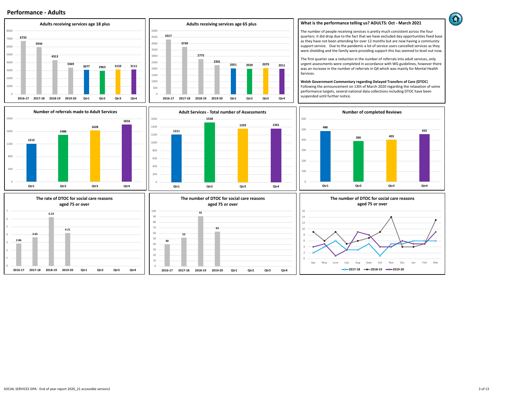



**What is the performance telling us? ADULTS: Oct - March 2021**

The number of people receiving services is pretty much consistent across the four quarters. it did drop due to the fact that we have excluded day opportunities fixed base as they have not been attending for over 12 months but are now having a community support service. Due to the pandemic a lot of service users cancelled services as they were shielding and the family were providing support this has seemed to level out now.

The first quarter saw a reduction in the number of referrals into adult services, only urgent assessments were completed in accordance with WG guidelines, however there was an increase in the number of referrals in Q4 which was mainly for Mental Health Services.

**Welsh Government Commentary regarding Delayed Transfers of Care (DTOC**) Following the announcement on 13th of March 2020 regarding the relaxation of some performance targets, several national data collections including DTOC have been suspended until further notice.

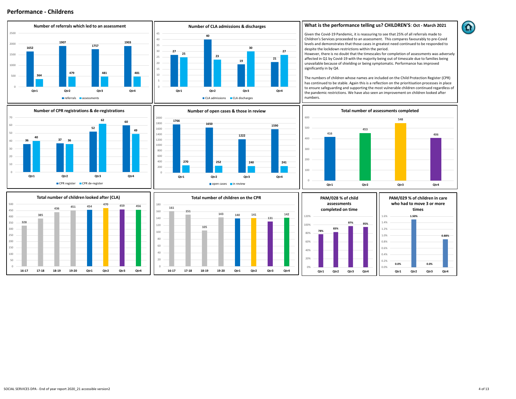



## **What is the performance telling us? CHILDREN'S**: **Oct - March 2021**

Given the Covid-19 Pandemic, it is reassuring to see that 25% of all referrals made to Children's Services proceeded to an assessment. This compares favourably to pre-Covid levels and demonstrates that those cases in greatest need continued to be responded to despite the lockdown restrictions within the period.

However, there is no doubt that the timescales for completion of assessments was adversely affected in Q1 by Covid-19 with the majority being out of timescale due to families being unavailable because of shielding or being symptomatic. Performance has improved significantly in by Q4.

The numbers of children whose names are included on the Child Protection Register (CPR) has continued to be stable. Again this is a reflection on the prioritisation processes in place to ensure safeguarding and supporting the most vulnerable children continued regardless of the pandemic restrictions. We have also seen an improvement on children looked after numbers.

**Total number of assessments completed**

**Qtr1 Qtr2 Qtr3 Qtr4**

**548**

**406**

**453**







**416**

**27**





**16-17 17-18 18-19 19-20 Qtr1 Qtr2 Qtr3 Qtr4**

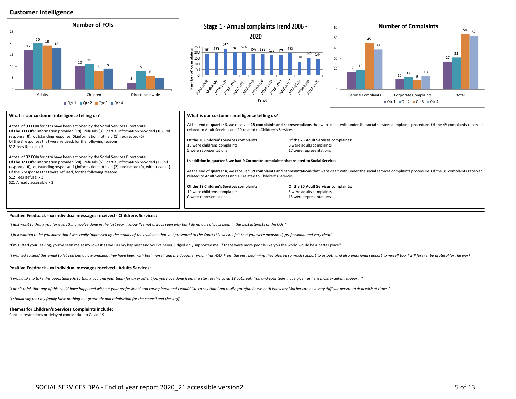# **Customer Intelligence**



#### **Positive Feedback - xx individual messages received - Childrens Services:**

*"I just want to thank you for everything you've done in the last year, I know I've not always seen why but I do now its always been in the best interests of the kids "*

*"I just wanted to let you know that I was really impressed by the quality of the evidence that you presented to the Court this week. I felt that you were measured, professional and very clear"*

"I'm gutted your leaving, you've seen me at my lowest as well as my happiest and you've never judged only supported me. If there were more people like you the world would be a better place"

"I wanted to send this email to let you know how amazing they have been with both myself and my daughter whom has ASD. From the very beginning they offered so much support to us both and also emotional support to myself to

#### **Positive Feedback - xx individual messages received - Adults Services:**

*"I would like to take this opportunity Jo to thank you and your team for an excellent job you have done from the start of this covid 19 outbreak. You and your team have given us here most excellent support. "*

"I don't think that any of this could have happened without your professional and caring input and I would like to say that I am really grateful. As we both know my Mother can be a very difficult person to deal with at tim

*"I should say that my family have nothing but gratitude and admiration for the council and the staff "*

## **Themes for Children's Services Complaints include:**

Contact restrictions or delayed contact due to Covid-19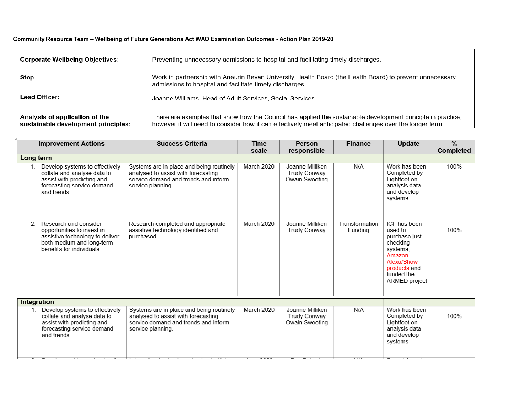# **Community Resource Team – Wellbeing of Future Generations Act WAO Examination Outcomes - Action Plan 2019-20**

| <b>Corporate Wellbeing Objectives:</b>                                | Preventing unnecessary admissions to hospital and facilitating timely discharges.                                                                                                                                        |
|-----------------------------------------------------------------------|--------------------------------------------------------------------------------------------------------------------------------------------------------------------------------------------------------------------------|
| Step:                                                                 | Work in partnership with Aneurin Bevan University Health Board (the Health Board) to prevent unnecessary<br>admissions to hospital and facilitate timely discharges.                                                     |
| Lead Officer:                                                         | Joanne Williams, Head of Adult Services, Social Services                                                                                                                                                                 |
| Analysis of application of the<br>sustainable development principles: | There are examples that show how the Council has applied the sustainable development principle in practice,<br>however it will need to consider how it can effectively meet anticipated challenges over the longer term. |

| <b>Improvement Actions</b>                                                                                                                             | <b>Success Criteria</b>                                                                                                                      | <b>Time</b><br>scale | <b>Person</b><br>responsible                             | <b>Finance</b>            | Update                                                                                                                                  | $\%$<br>Completed |
|--------------------------------------------------------------------------------------------------------------------------------------------------------|----------------------------------------------------------------------------------------------------------------------------------------------|----------------------|----------------------------------------------------------|---------------------------|-----------------------------------------------------------------------------------------------------------------------------------------|-------------------|
| Long term                                                                                                                                              |                                                                                                                                              |                      |                                                          |                           |                                                                                                                                         |                   |
| Develop systems to effectively<br>$1_{-}$<br>collate and analyse data to<br>assist with predicting and<br>forecasting service demand<br>and trends.    | Systems are in place and being routinely<br>analysed to assist with forecasting<br>service demand and trends and inform<br>service planning. | March 2020           | Joanne Milliken<br><b>Trudy Conway</b><br>Owain Sweeting | N/A                       | Work has been<br>Completed by<br>Lightfoot on<br>analysis data<br>and develop<br>systems                                                | 100%              |
| Research and consider<br>2.<br>opportunities to invest in<br>assistive technology to deliver<br>both medium and long-term<br>benefits for individuals. | Research completed and appropriate<br>assistive technology identified and<br>purchased.                                                      | March 2020           | Joanne Milliken<br><b>Trudy Conway</b>                   | Transformation<br>Funding | ICF has been<br>used to<br>purchase just<br>checking<br>systems.<br>Amazon<br>Alexa/Show<br>products and<br>funded the<br>ARMED project | 100%              |
| Integration                                                                                                                                            |                                                                                                                                              |                      |                                                          |                           |                                                                                                                                         |                   |
| Develop systems to effectively<br>collate and analyse data to<br>assist with predicting and<br>forecasting service demand<br>and trends                | Systems are in place and being routinely<br>analysed to assist with forecasting<br>service demand and trends and inform<br>service planning. | March 2020           | Joanne Milliken<br><b>Trudy Conway</b><br>Owain Sweeting | N/A                       | Work has been<br>Completed by<br>Lightfoot on<br>analysis data<br>and develop<br>systems                                                | 100%              |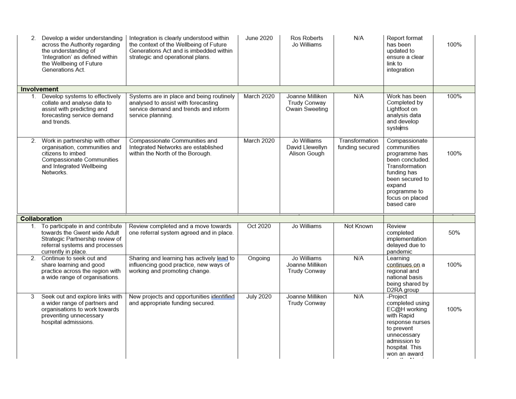| $2^{\circ}$                                                                                                                                                      | Develop a wider understanding<br>across the Authority regarding<br>the understanding of<br>'Integration' as defined within<br>the Wellbeing of Future<br>Generations Act. | Integration is clearly understood within<br>the context of the Wellbeing of Future<br>Generations Act and is imbedded within<br>strategic and operational plans. | <b>June 2020</b> | Ros Roberts<br>Jo Williams                        | N/A                               | Report format<br>has been<br>updated to<br>ensure a clear<br>link to<br>integration                                                                                             | 100% |
|------------------------------------------------------------------------------------------------------------------------------------------------------------------|---------------------------------------------------------------------------------------------------------------------------------------------------------------------------|------------------------------------------------------------------------------------------------------------------------------------------------------------------|------------------|---------------------------------------------------|-----------------------------------|---------------------------------------------------------------------------------------------------------------------------------------------------------------------------------|------|
|                                                                                                                                                                  | <b>Involvement</b>                                                                                                                                                        |                                                                                                                                                                  |                  |                                                   |                                   |                                                                                                                                                                                 |      |
|                                                                                                                                                                  | 1. Develop systems to effectively<br>collate and analyse data to<br>assist with predicting and<br>forecasting service demand<br>and trends.                               | Systems are in place and being routinely<br>analysed to assist with forecasting<br>service demand and trends and inform<br>service planning.                     | March 2020       | Joanne Milliken<br>Trudy Conway<br>Owain Sweeting | N/A                               | Work has been<br>Completed by<br>Lightfoot on<br>analysis data<br>and develop<br>systems                                                                                        | 100% |
| Work in partnership with other<br>2.<br>organisation, communities and<br>citizens to imbed<br>Compassionate Communities<br>and Integrated Wellbeing<br>Networks. |                                                                                                                                                                           | Compassionate Communities and<br>Integrated Networks are established<br>within the North of the Borough.                                                         | March 2020       | Jo Williams<br>David Llewellyn<br>Alison Gough    | Transformation<br>funding secured | Compassionate<br>communities<br>programme has<br>been concluded.<br>Transformation<br>funding has<br>been secured to<br>expand<br>programme to<br>focus on placed<br>based care | 100% |
|                                                                                                                                                                  | Collaboration                                                                                                                                                             |                                                                                                                                                                  |                  |                                                   |                                   |                                                                                                                                                                                 |      |
|                                                                                                                                                                  | 1. To participate in and contribute<br>towards the Gwent wide Adult<br>Strategic Partnership review of<br>referral systems and processes<br>currently in place.           | Review completed and a move towards<br>one referral system agreed and in place.                                                                                  | Oct 2020         | Jo Williams                                       | Not Known                         | Review<br>completed<br>implementation<br>delayed due to<br>pandemic                                                                                                             | 50%  |
|                                                                                                                                                                  | 2. Continue to seek out and<br>share learning and good<br>practice across the region with<br>a wide range of organisations.                                               | Sharing and learning has actively lead to<br>influencing good practice, new ways of<br>working and promoting change.                                             | Ongoing          | Jo Williams<br>Joanne Milliken<br>Trudy Conway    | N/A                               | Learning<br>continues on a<br>regional and<br>national basis<br>being shared by<br>D2RA group                                                                                   | 100% |
| 3                                                                                                                                                                | Seek out and explore links with<br>a wider range of partners and<br>organisations to work towards<br>preventing unnecessary<br>hospital admissions.                       | New projects and opportunities identified<br>and appropriate funding secured.                                                                                    | <b>July 2020</b> | Joanne Milliken<br><b>Trudy Conway</b>            | N/A                               | -Project<br>completed using<br>EC@H working<br>with Rapid<br>response nurses<br>to prevent<br>unnecessary<br>admission to<br>hospital. This<br>won an award                     | 100% |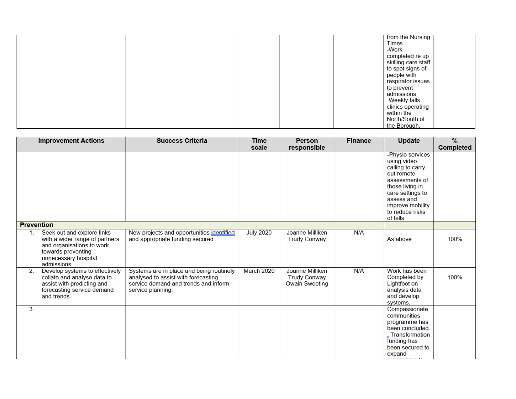|  | from the Nursing<br>Times<br>-Work<br>completed re up<br>skilling care staff |
|--|------------------------------------------------------------------------------|
|  | to spot signs of<br>people with<br>respirator issues                         |
|  | to prevent<br>admissions<br>-Weekly falls                                    |
|  | clinics operating<br>within the<br>North/South of<br>the Borough.            |

|                   | <b>Improvement Actions</b>                                                                                                                             | <b>Success Criteria</b>                                                                                                                      | <b>Time</b>      | <b>Person</b>                                     | <b>Finance</b> | Update                                                                                                                                                                                       | $\frac{0}{6}$ |
|-------------------|--------------------------------------------------------------------------------------------------------------------------------------------------------|----------------------------------------------------------------------------------------------------------------------------------------------|------------------|---------------------------------------------------|----------------|----------------------------------------------------------------------------------------------------------------------------------------------------------------------------------------------|---------------|
|                   |                                                                                                                                                        |                                                                                                                                              | scale            | responsible                                       |                | -Physio services<br>using video<br>calling to carry<br>out remote<br>assessments of<br>those living in<br>care settings to<br>assess and<br>improve mobility<br>to reduce risks<br>of falls. | Completed     |
| <b>Prevention</b> |                                                                                                                                                        |                                                                                                                                              |                  |                                                   |                |                                                                                                                                                                                              |               |
| $1_{-}$           | Seek out and explore links<br>with a wider range of partners<br>and organisations to work<br>towards preventing<br>unnecessary hospital<br>admissions. | New projects and opportunities identified<br>and appropriate funding secured.                                                                | <b>July 2020</b> | Joanne Milliken<br><b>Trudy Conway</b>            | N/A            | As above                                                                                                                                                                                     | 100%          |
| 2.                | Develop systems to effectively<br>collate and analyse data to<br>assist with predicting and<br>forecasting service demand<br>and trends.               | Systems are in place and being routinely<br>analysed to assist with forecasting<br>service demand and trends and inform<br>service planning. | March 2020       | Joanne Milliken<br>Trudy Conway<br>Owain Sweeting | N/A            | Work has been<br>Completed by<br>Lightfoot on<br>analysis data<br>and develop<br>systems.                                                                                                    | 100%          |
| 3.                |                                                                                                                                                        |                                                                                                                                              |                  |                                                   |                | Compassionate<br>communities<br>programme has<br>been concluded<br>Transformation<br>funding has<br>been secured to<br>expand                                                                |               |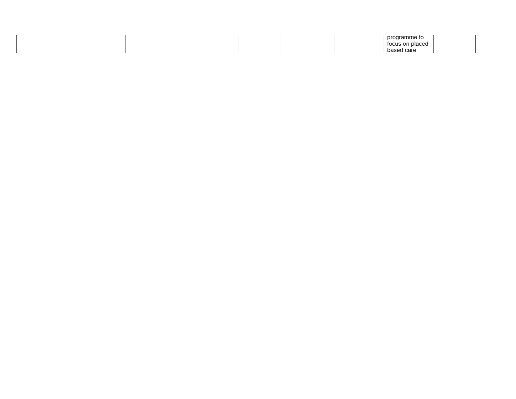|  |  | mm.<br>nrı |  |
|--|--|------------|--|
|  |  | .          |  |
|  |  | `ar        |  |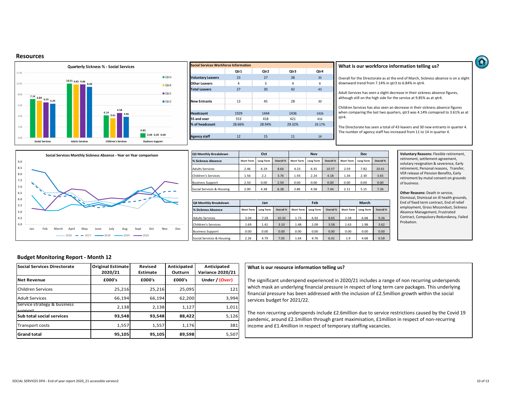#### **Resources**





### **What is our workforce information telling us?**

Overall for the Directorate as at the end of March, Sickness absence is on a slight downward trend from 7.14% in qtr3 to 6.84% in qtr4.

Adult Services has seen a slight decrease in their sickness absence figures, although still on the high side for the service at 9.85% as at qtr4.

Children Services has also seen an decrease in their sickness absence figures when comparing the last two quarters, qtr3 was 4.14% comapred to 3.61% as at qtr4.

The Directorate has seen a total of 43 leavers and 30 new entrants in quarter 4. The number of agency staff has increased from 11 to 14 in quarter 4.



| Oct<br><b>Q3 Monthly Breakdown</b> |                   |           | <b>Nov</b> |                   | <b>Dec</b>       |           |                                                              |           |           |
|------------------------------------|-------------------|-----------|------------|-------------------|------------------|-----------|--------------------------------------------------------------|-----------|-----------|
| % Sickness Absence                 | <b>Short Term</b> | Long Term | Overall %  | <b>Short Term</b> | <b>Long Term</b> | Overall % | <b>Short Term</b>                                            | Long Term | Overall % |
| <b>Adults Services</b>             | 2.46              | 6.19      | 8.66       | 4.23              | 6.35             | 10.57     | 7.82<br>2.59<br>2.30<br>1.34<br>0.00<br>0.00<br>2.11<br>5.15 | 10.41     |           |
| Children's Services                | 1.56              | 2.2       | 3.76       | 1.93              | 2.24             | 4.18      |                                                              |           | 3.65      |
| <b>Business Support</b>            | 2.50              | 0.00      | 2.50       | 0.00              | 0.00             | 0.00      |                                                              |           | 0.00      |
| Social Services & Housing          | 2.00              | 4.38      | 6.38       | 2.86              | 4.58             | 7.44      |                                                              |           | 7.26      |

| Q4 Monthly Breakdown      |                   | Jan       |           |                   | Feb       |           |                   | <b>March</b> |           |
|---------------------------|-------------------|-----------|-----------|-------------------|-----------|-----------|-------------------|--------------|-----------|
| % Sickness Absence        | <b>Short Term</b> | Long Term | Overall % | <b>Short Term</b> | Long Term | Overall % | <b>Short Term</b> | Long Term    | Overall % |
| <b>Adults Services</b>    | 3.04              | 7.28      | 10.32     | 1.73              | 6.92      | 8.65      | 2.58              | 6.68         | 9.26      |
| Children's Services       | 1.69              | 1.41      | 3.10      | 1.48              | 2.09      | 3.58      | 1.63              | 1.98         | 3.62      |
| <b>Business Support</b>   | 0.00              | 0.00      | 0.00      | 0.00              | 0.00      | 0.00      | 0.00              | 0.00         | 0.00      |
| Social Services & Housing | 2.26              | 4.79      | 7.05      | 1.64              | 4.76      | 6.41      | 1.9               | 4.68         | 6.58      |

**Voluntary Reasons:** Flexible retirement, retirement, settlement agreement, volutary resignation & severence, Early retirement, Personal reasons, Transfer, VER release of Pension Benefits, Early retirement by mutal consent on grounds of business.

**Other Reasons: Death in service,** Dismissal, Dismissal on ill health grounds, End of fixed term contract, End of relief employment, Gross Misconduct, Sickness Absence Management, Frustrated Contract, Compulsory Redundancy, Failed Probation.

## **Budget Monitoring Report - Month 12**

| <b>Social Services Directorate</b>     | <b>Original Estimate</b><br>2020/21 | Revised<br>Estimate | Anticipated<br>Outturn | Anticipated<br><b>Variance 2020/21</b> |
|----------------------------------------|-------------------------------------|---------------------|------------------------|----------------------------------------|
| <b>Net Revenue</b>                     | £000's                              | £000's              | £000's                 | Under / (Over)                         |
| <b>Children Services</b>               | 25,216                              | 25,216              | 25.095                 | 121                                    |
| <b>Adult Services</b>                  | 66,194                              | 66,194              | 62,200                 | 3,994                                  |
| Service strategy & business<br>sunnort | 2,138                               | 2,138               | 1,127                  | 1,011                                  |
| <b>Sub total social services</b>       | 93,548                              | 93,548              | 88,422                 | 5,126                                  |
| <b>Transport costs</b>                 | 1,557                               | 1,557               | 1,176                  | 381                                    |
| <b>Grand total</b>                     | 95,105                              | 95,105              | 89,598                 | 5,507                                  |

# **What is our resource information telling us?**

The significant underspend experienced in 2020/21 includes a range of non recurring underspends which mask an underlying financial pressure in respect of long term care packages. This underlying financial pressure has been addressed with the inclusion of £2.5million growth within the social services budget for 2021/22.

The non recurring underspends include £2.6million due to service restrictions caused by the Covid 19 pandemic, around £2.1million through grant maximisation, £1million in respect of non-recurring income and £1.4million in respect of temporary staffing vacancies.

 $\mathbf \Omega$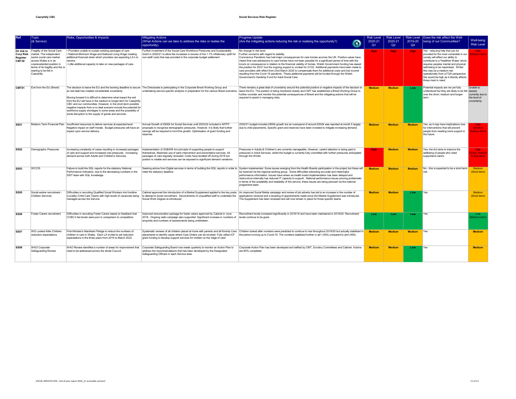| <b>Ref</b>        | Topic<br>$(8$ Service)                                                                                                                                                                                                                            | Risks, Opportunities & Impacts                                                                                                                                                                                                                                                                                                                                                                                                                               | Mitigating Actions<br>What Actions can we take to address the risks or realise the<br>opportunity)                                                                                                                                                                                                                          | <b>Progress Update</b><br>(Are the mitigating actions reducing the risk or realising the opportunity?)<br>m                                                                                                                                                                                                                                                                                                                                                                                                                                                                                                                                                                                                                                                                            | <b>Risk Level</b><br>2020-21<br>Q <sub>1</sub> | <b>Risk Level</b><br>2020-21<br>Q2 | <b>Risk Level</b><br>2019-20<br>Q4 | Does the risk affect the Well-<br>being of our Communities?                                                                                                                                                                                                                                                                                                                        | Well-being<br><b>Risk Level</b>                               |
|-------------------|---------------------------------------------------------------------------------------------------------------------------------------------------------------------------------------------------------------------------------------------------|--------------------------------------------------------------------------------------------------------------------------------------------------------------------------------------------------------------------------------------------------------------------------------------------------------------------------------------------------------------------------------------------------------------------------------------------------------------|-----------------------------------------------------------------------------------------------------------------------------------------------------------------------------------------------------------------------------------------------------------------------------------------------------------------------------|----------------------------------------------------------------------------------------------------------------------------------------------------------------------------------------------------------------------------------------------------------------------------------------------------------------------------------------------------------------------------------------------------------------------------------------------------------------------------------------------------------------------------------------------------------------------------------------------------------------------------------------------------------------------------------------------------------------------------------------------------------------------------------------|------------------------------------------------|------------------------------------|------------------------------------|------------------------------------------------------------------------------------------------------------------------------------------------------------------------------------------------------------------------------------------------------------------------------------------------------------------------------------------------------------------------------------|---------------------------------------------------------------|
| Register<br>CMT39 | Dir link to Fragility of the Social Care<br>Corp Risk   market. The independent<br>sector social care market<br>across Wales is in an<br>unprecedented position in<br>terms of its fragility and this is<br>starting to be felt in<br>Caerphilly. | • Providers unable to sustain existing packages of care<br>. National Minimum Wage and National Living Wage creating<br>additional financial strain which providers are expecting LA's to<br>resolve.<br>. Little additional capacity to take on new packages of care.                                                                                                                                                                                       | Further investment of the Social Care Workforce Pressures and Sustainability<br>Grant in 2020/21 to allow fee increases in excess of the 1.7% inflationary uplift for<br>non-staff costs that was provided in the corporate budget settlement                                                                               | No change in risk level.<br>Further concerns with regard to stability.<br>Coronavirus Pandemic has had major consequences for care homes accross the UK. Positive cases have<br>meant that new admissions to care homes have not been possible for a significant period of time with the<br>knock on consequence in relation to the financial viability of homes. Welsh Government funding has eased<br>the position for 20/21 but the ongoing support is unclear for 21/22. Additional payments have been made to<br>care providers with effect from 23rd March 2020 to compensate them for additional costs and lost income<br>resulting from the Covid 19 pandemic. These additional payments will be funded through the Welsh<br>Government's Hardship Fund for Adult Social Care. | High:                                          | <b>High</b>                        | <b>High</b>                        | Yes - reducing help that can be<br>provided for the most vulnerable in our<br>society will affect our ability to<br>contribute to a 'Healthier Wales' which<br>requires peoples mental and physical<br>well-being to be maximised. Whilst<br>this may be a medium risk<br>operationally from a FGA perspective<br>this would be high as it directly affects<br>those most in need. | High<br>edium-term                                            |
| CMT01             | Exit from the EU (Brexit)                                                                                                                                                                                                                         | an exit deal has created considerable uncertainty.<br>Moving forward it is difficult to determine what impact the exit<br>from the EU will have in the medium to longer-term for Caerphilly<br>CBC and our communities. However, in the short-term possible<br>negative impacts from a no deal scenario include the potential for<br>workforce supply shortages in some areas and the possibility of<br>some disruption to the supply of goods and services. | The decision to leave the EU and the looming deadline to secure   The Directorate is participating in the Corporate Brexit Working Group and                                                                                                                                                                                | There remains a great deal of uncertainty around the potential positive or negative impacts of the decision to<br>undertaking service specific analysis in preparation for the various Brexit scenarios. leave the EU. The position is being monitored closely and CMT has established a Brexit Working Group to<br>further consider and monitor the potential consequences of Brexit and the mitigating actions that will be<br>required to assist in managing risks.                                                                                                                                                                                                                                                                                                                 | <b>Medium</b>                                  | <b>Medium</b>                      | Low                                | Potential impacts are not yet fully<br>understood but they are likely to be felt assess<br>over the short, medium and longer-<br>term.                                                                                                                                                                                                                                             | Unable to<br>currently due to<br>the level of<br>uncertainty. |
| <b>SS01</b>       |                                                                                                                                                                                                                                                   | Medium Term Financial Plan Insufficient resources to deliver services at expected level.<br>Negative impact on staff morale. Budget pressures will have an<br>impact upon service delivery.                                                                                                                                                                                                                                                                  | Annual Growth of £800k for Social Services until 2023/24 included in MTFP<br>proposals to recognise demographic pressures. However, it is likely that further<br>savings will be required to fund this growth. Optimisation of grant funding and<br>reserves.                                                               | 2020/21 budget includes £800k growth but an overspend of around £934k was reported at month 5 largely<br>due to child placements. Specific grant and reserves have been invested to mitigate increasing demand.                                                                                                                                                                                                                                                                                                                                                                                                                                                                                                                                                                        | <b>Medium</b>                                  | <b>Medium</b>                      | <b>Medium</b>                      | Yes, as it may have implications now<br>for interventions that will prevent<br>people from needing more support in<br>the future.                                                                                                                                                                                                                                                  | <b>High</b><br>Short to<br>edium term)                        |
| <b>SS02</b>       | Demographic Pressures                                                                                                                                                                                                                             | Increasing complexity of cases resulting in increased packages<br>of care and support and increased cost pressures. Increasing<br>demand across both Adults and Children's Services                                                                                                                                                                                                                                                                          | Implementation of SS&WB Act principle of supporting people to support<br>themselves. Maximise use of early intervention and preventative services. All<br>packages of care regularly reviewed. Costs have levelled off during 2018 but<br>postion is volatile and services can be exposed to significant demand variations. | Pressures in Adults & Children's are currently manageable, However, careful attention is being paid to<br>pressures in Adult Services, whilst the budget is currently fully committed with further pressures anticipated<br>through the Winter.                                                                                                                                                                                                                                                                                                                                                                                                                                                                                                                                        | High-                                          | <b>Medium</b>                      | <b>Medium</b>                      | Yes- the Act aims to improve the<br>wellbeing of people who need<br>supportand carers.                                                                                                                                                                                                                                                                                             | <b>High</b><br>hort, medium<br>& long term)                   |
| <b>SS03</b>       | <b>WCCIS</b>                                                                                                                                                                                                                                      | Failure to build the SQL reports for the statutory National<br>Performance Indicators, due to the decreasing numbers in the<br>SSIT team with SQL knowledge.                                                                                                                                                                                                                                                                                                 | meet the statutory deadline.                                                                                                                                                                                                                                                                                                | Seeking advice from Digital services in terms of building the SQL reports in order to System implemented. Some issues energing from the Health Boards participation in the project but these will<br>be resolved via the regional working group. Some difficulties extracting accurate and meaningful<br>performance information. Issues have arisen as health board implementation has been delayed and<br>restrucrture internally has reduced IT capacity to support. National performance issues proving problematic<br>in terms of the availability and realability of the service, these issues are being persued via the national<br>programme team.                                                                                                                             | <b>Medium</b>                                  | <b>Medium</b>                      | <b>Medium</b>                      | No - this is expected to be a short term<br>risk.                                                                                                                                                                                                                                                                                                                                  | Medium<br>(Short-term)                                        |
| <b>SS05</b>       | Social worker recruitment -<br><b>Children Services</b>                                                                                                                                                                                           | Difficulties in recruiting Qualified Social Workers into frontline<br>(Locality) Child Care Teams with high levels of vacancies being<br>managed across the Service.                                                                                                                                                                                                                                                                                         | to attempt to boost recruitment. Secondments of unqualified staff to undertake the<br>Social Work Degree re-introduced.                                                                                                                                                                                                     | Cabinet approved the introduction of a Market Supplement applied to the key posts   An improved Social Media campaign and review of lob adverts has led to an increase in the number of<br>applications received and a doubling of appointments made since the Market Supplement was introduced.<br>The Supplement has been reviewed and will now remain in place for those specific teams.                                                                                                                                                                                                                                                                                                                                                                                            | <b>Medium</b>                                  | <b>Medium</b>                      | Low                                |                                                                                                                                                                                                                                                                                                                                                                                    | <b>Medium</b><br>(Short-term)                                 |
| <b>SS06</b>       | Foster Carers recruitment                                                                                                                                                                                                                         | Difficulties in recruiting Foster Carers based on feedback that<br>CCBC's fee levels were poor in comparison to competitors.                                                                                                                                                                                                                                                                                                                                 | Improved remuneration package for foster carers approved by Cabinet in June<br>2018. Ongoing radio campaign also supported. Significant increase in numbers of levels continue to be good.<br>enquiries and numbers of assessments being undertaken.                                                                        | Recruitment levels increased significantly in 2018/19 and have been maintained in 2019/20. Recruitment                                                                                                                                                                                                                                                                                                                                                                                                                                                                                                                                                                                                                                                                                 | Low                                            | Low                                | Low                                | Yes                                                                                                                                                                                                                                                                                                                                                                                | Low<br>Medium-term)                                           |
| <b>SS07</b>       | WG Looked After Children<br>reduction expectations                                                                                                                                                                                                | First Minister's Manifesto Pledge to reduce the numbers of<br>children in care in Wales. Each LA invited to set reduction<br>expectations in the three years from 2019 to March 2022.                                                                                                                                                                                                                                                                        | grant funding to develop support services for childen on the 'edge of care'.                                                                                                                                                                                                                                                | Systematic reviews of all children placed at home with parents and all Kinship Care Children looked after numbers were predicted to continue to rise throughout 2019/20 but actually stabilised in<br>placements to identify cases where Care Orders can be revoked. Fully utilise ICF the period running up to Covid-19. The numbers stabilised further in qtr1 (454) compared to qtr4 (456).                                                                                                                                                                                                                                                                                                                                                                                         | <b>Medium</b>                                  | <b>Medium</b>                      | <b>Medium</b>                      | <b>Yes</b>                                                                                                                                                                                                                                                                                                                                                                         | <b>Medium</b>                                                 |
| <b>SS08</b>       | WAO Corporate<br>Safeguarding Review                                                                                                                                                                                                              | WAO Review identified a number of areas for improvement that<br>need to be addressed across the whole Council.                                                                                                                                                                                                                                                                                                                                               | Corporate Safeguarding Board now meets guarterly to monitor an Action Plan to<br>address the recommendations that has been developed by the Designated<br>Safeguarding Officers in each Service area.                                                                                                                       | Corporate Action Plan has been developed and ratified by CMT. Scrutiny Committees and Cabinet. Actions<br>are 85% completed.                                                                                                                                                                                                                                                                                                                                                                                                                                                                                                                                                                                                                                                           | <b>Medium</b>                                  | <b>Medium</b>                      | Low                                | Yes                                                                                                                                                                                                                                                                                                                                                                                | <b>Medium</b>                                                 |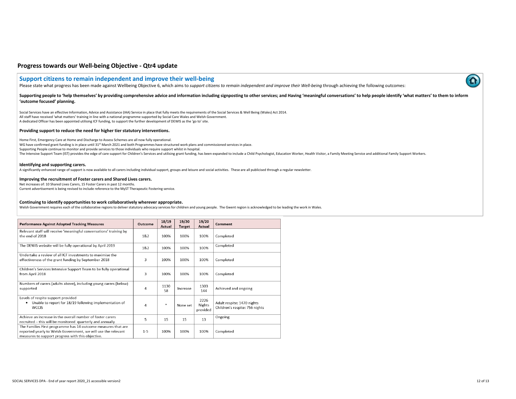# **Progress towards our Well-being Objective - Qtr4 update**

## **Support citizens to remain independent and improve their well-being**

Please state what progress has been made against Wellbeing Objective 6, which aims to *support citizens to remain independent and improve their Well-being through achieving the following outcomes:* 

#### Supporting people to 'help themselves' by providing comprehensive advice and information including signposting to other services; and Having 'meaningful conversations' to help people identify 'what matters' to them to info **'outcome focused' planning.**

Social Services have an effective Information, Advice and Assistance (IAA) Service in place that fully meets the requirements of the Social Services & Well Being (Wales) Act 2014. All staff have received 'what matters' training in line with a national programme supported by Social Care Wales and Welsh Government. A dedicated Officer has been appointed utilising ICF funding, to support the further development of DEWIS as the 'go to' site.

#### **Providing support to reduce the need for higher tier statutory interventions.**

Home First, Emergency Care at Home and Discharge to Assess Schemes are all now fully operational.

WG have confirmed grant funding is in place until 31st March 2021 and both Programmes have structured work plans and commissioned services in place. Supporting People continue to monitor and provide services to those individuals who require support whilst in hospital. The Intensive Support Team (IST) provides the edge of care support for Children's Services and utilising grant funding, has been expanded to include a Child Psychologist, Education Worker, Health Visitor, a Family Meeting

#### **Identifying and supporting carers.**

A significantly enhanced range of support is now available to all carers including individual support, groups and leisure and social activities. These are all publicised through a regular newsletter.

#### **Improving the recruitment of Foster carers and Shared Lives carers.**

Net increases of: 10 Shared Lives Carers, 15 Foster Carers in past 12 months. Current advertisement is being revised to include reference to the MyST Therapeutic Fostering service.

#### **Continuing to identify opportunities to work collaboratively wherever appropriate.**

Welsh Government requires each of the collaborative regions to deliver statutory advocacy services for children and young people. The Gwent region is acknowledged to be leading the work in Wales.

| <b>Performance Against Adopted Tracking Measures</b>                                                                                                                                | Outcome        | 18/19<br>Actual | 19/20<br><b>Target</b> | 19/20<br>Actual            | Comment                                                      |
|-------------------------------------------------------------------------------------------------------------------------------------------------------------------------------------|----------------|-----------------|------------------------|----------------------------|--------------------------------------------------------------|
| Relevant staff will receive 'meaningful conversations' training by<br>the end of 2018                                                                                               | 1&2            | 100%            | 100%                   | 100%                       | Completed                                                    |
| The DEWIS website will be fully operational by April 2019                                                                                                                           | 1&2            | 100%            | 100%                   | 100%                       | Completed                                                    |
| Undertake a review of all ICF investments to maximise the<br>effectiveness of the grant funding by September 2018                                                                   | 3              | 100%            | 100%                   | 100%                       | Completed                                                    |
| Children's Services Intensive Support Team to be fully operational<br>from April 2018                                                                                               | 3              | 100%            | 100%                   | 100%                       | Completed                                                    |
| Numbers of carers (adults above), including young carers (below)<br>supported                                                                                                       | 4              | 1130<br>58      | Increase               | 1303<br>144                | Achieved and ongoing                                         |
| Levels of respite support provided<br>Unable to report for 18/19 following implementation of<br><b>WCCIS</b>                                                                        | $\overline{4}$ | 率               | None set               | 2226<br>Nights<br>provided | Adult respite: 1470 nights<br>Children's respite: 756 nights |
| Achieve an increase in the overall number of foster carers<br>recruited - this will be monitored quarterly and annually                                                             | 5              | 15              | 15                     | 13                         | Ongoing                                                      |
| The Families First programme has 14 outcome measures that are<br>reported yearly to Welsh Government, we will use the relevant<br>measures to support progress with this objective. | $1 - 5$        | 100%            | 100%                   | 100%                       | Completed                                                    |



Ω